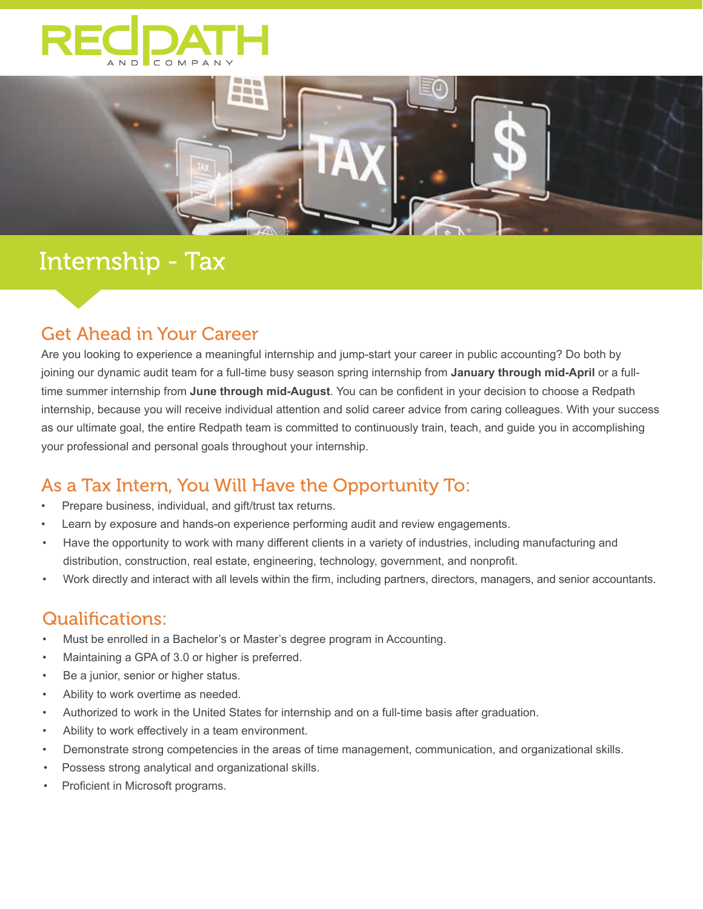



# Internship - Tax

### Get Ahead in Your Career

Are you looking to experience a meaningful internship and jump-start your career in public accounting? Do both by joining our dynamic audit team for a full-time busy season spring internship from **January through mid-April** or a fulltime summer internship from **June through mid-August**. You can be confident in your decision to choose a Redpath internship, because you will receive individual attention and solid career advice from caring colleagues. With your success as our ultimate goal, the entire Redpath team is committed to continuously train, teach, and guide you in accomplishing your professional and personal goals throughout your internship.

## As a Tax Intern, You Will Have the Opportunity To:

- Prepare business, individual, and gift/trust tax returns.
- Learn by exposure and hands-on experience performing audit and review engagements.
- Have the opportunity to work with many different clients in a variety of industries, including manufacturing and distribution, construction, real estate, engineering, technology, government, and nonprofit.
- Work directly and interact with all levels within the firm, including partners, directors, managers, and senior accountants.

### Qualifications:

- Must be enrolled in a Bachelor's or Master's degree program in Accounting.
- Maintaining a GPA of 3.0 or higher is preferred.
- Be a junior, senior or higher status.
- Ability to work overtime as needed.
- Authorized to work in the United States for internship and on a full-time basis after graduation.
- Ability to work effectively in a team environment.
- Demonstrate strong competencies in the areas of time management, communication, and organizational skills.
- Possess strong analytical and organizational skills.
- Proficient in Microsoft programs.